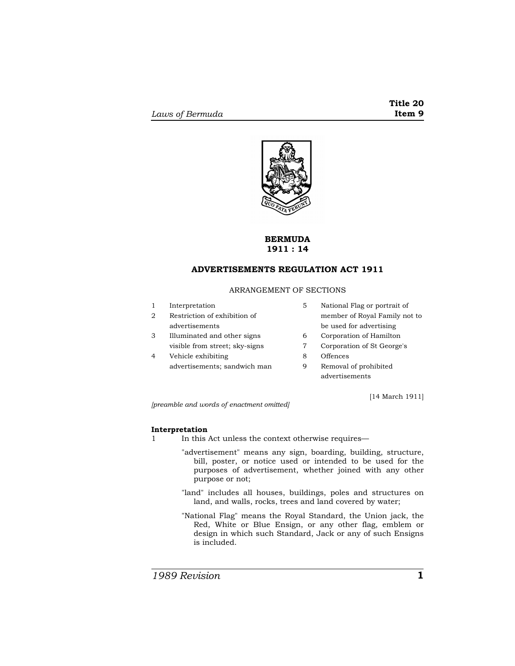

# **BERMUDA 1911 : 14**

# **ADVERTISEMENTS REGULATION ACT 1911**

# ARRANGEMENT OF SECTIONS

- 1 Interpretation
- 2 Restriction of exhibition of advertisements
- 3 Illuminated and other signs visible from street; sky-signs
- 4 Vehicle exhibiting advertisements; sandwich man
- 5 National Flag or portrait of member of Royal Family not to be used for advertising
- 6 Corporation of Hamilton
- 7 Corporation of St George's
- 8 Offences
- 9 Removal of prohibited advertisements

[14 March 1911]

*[preamble and words of enactment omitted]* 

# **Interpretation**

- 1 In this Act unless the context otherwise requires—
	- "advertisement" means any sign, boarding, building, structure, bill, poster, or notice used or intended to be used for the purposes of advertisement, whether joined with any other purpose or not;
	- "land" includes all houses, buildings, poles and structures on land, and walls, rocks, trees and land covered by water;
	- "National Flag" means the Royal Standard, the Union jack, the Red, White or Blue Ensign, or any other flag, emblem or design in which such Standard, Jack or any of such Ensigns is included.

*1989 Revision* **1**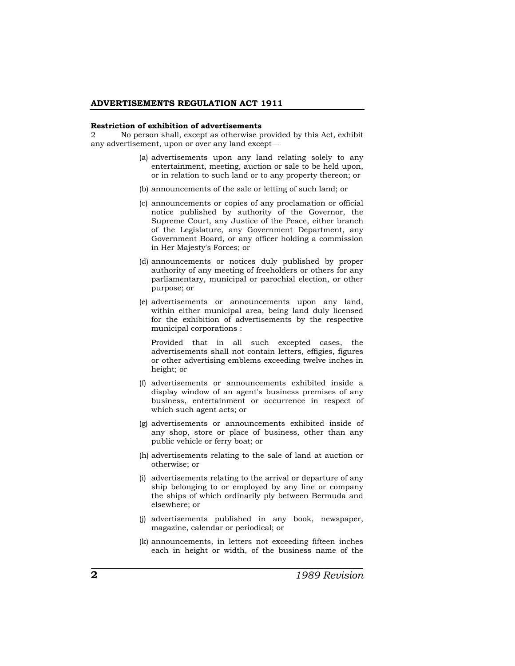#### **ADVERTISEMENTS REGULATION ACT 1911**

#### **Restriction of exhibition of advertisements**

2 No person shall, except as otherwise provided by this Act, exhibit any advertisement, upon or over any land except—

- (a) advertisements upon any land relating solely to any entertainment, meeting, auction or sale to be held upon, or in relation to such land or to any property thereon; or
- (b) announcements of the sale or letting of such land; or
- (c) announcements or copies of any proclamation or official notice published by authority of the Governor, the Supreme Court, any Justice of the Peace, either branch of the Legislature, any Government Department, any Government Board, or any officer holding a commission in Her Majesty's Forces; or
- (d) announcements or notices duly published by proper authority of any meeting of freeholders or others for any parliamentary, municipal or parochial election, or other purpose; or
- (e) advertisements or announcements upon any land, within either municipal area, being land duly licensed for the exhibition of advertisements by the respective municipal corporations :

 Provided that in all such excepted cases, the advertisements shall not contain letters, effigies, figures or other advertising emblems exceeding twelve inches in height; or

- (f) advertisements or announcements exhibited inside a display window of an agent's business premises of any business, entertainment or occurrence in respect of which such agent acts; or
- (g) advertisements or announcements exhibited inside of any shop, store or place of business, other than any public vehicle or ferry boat; or
- (h) advertisements relating to the sale of land at auction or otherwise; or
- (i) advertisements relating to the arrival or departure of any ship belonging to or employed by any line or company the ships of which ordinarily ply between Bermuda and elsewhere; or
- (j) advertisements published in any book, newspaper, magazine, calendar or periodical; or
- (k) announcements, in letters not exceeding fifteen inches each in height or width, of the business name of the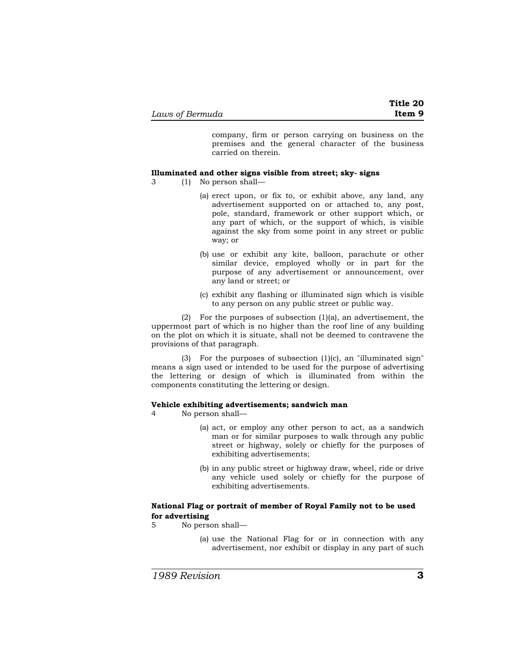company, firm or person carrying on business on the premises and the general character of the business carried on therein.

## **Illuminated and other signs visible from street; sky- signs**

- 3 (1) No person shall—
	- (a) erect upon, or fix to, or exhibit above, any land, any advertisement supported on or attached to, any post, pole, standard, framework or other support which, or any part of which, or the support of which, is visible against the sky from some point in any street or public way; or
	- (b) use or exhibit any kite, balloon, parachute or other similar device, employed wholly or in part for the purpose of any advertisement or announcement, over any land or street; or
	- (c) exhibit any flashing or illuminated sign which is visible to any person on any public street or public way.

(2) For the purposes of subsection (1)(a), an advertisement, the uppermost part of which is no higher than the roof line of any building on the plot on which it is situate, shall not be deemed to contravene the provisions of that paragraph.

(3) For the purposes of subsection (1)(c), an "illuminated sign" means a sign used or intended to be used for the purpose of advertising the lettering or design of which is illuminated from within the components constituting the lettering or design.

# **Vehicle exhibiting advertisements; sandwich man**

- 4 No person shall—
	- (a) act, or employ any other person to act, as a sandwich man or for similar purposes to walk through any public street or highway, solely or chiefly for the purposes of exhibiting advertisements;
	- (b) in any public street or highway draw, wheel, ride or drive any vehicle used solely or chiefly for the purpose of exhibiting advertisements.

# **National Flag or portrait of member of Royal Family not to be used for advertising**

- 5 No person shall—
	- (a) use the National Flag for or in connection with any advertisement, nor exhibit or display in any part of such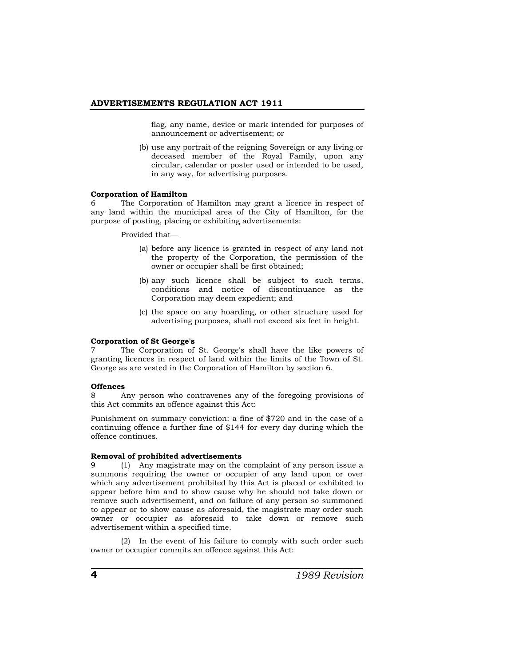### **ADVERTISEMENTS REGULATION ACT 1911**

flag, any name, device or mark intended for purposes of announcement or advertisement; or

(b) use any portrait of the reigning Sovereign or any living or deceased member of the Royal Family, upon any circular, calendar or poster used or intended to be used, in any way, for advertising purposes.

### **Corporation of Hamilton**

6 The Corporation of Hamilton may grant a licence in respect of any land within the municipal area of the City of Hamilton, for the purpose of posting, placing or exhibiting advertisements:

Provided that—

- (a) before any licence is granted in respect of any land not the property of the Corporation, the permission of the owner or occupier shall be first obtained;
- (b) any such licence shall be subject to such terms, conditions and notice of discontinuance as the Corporation may deem expedient; and
- (c) the space on any hoarding, or other structure used for advertising purposes, shall not exceed six feet in height.

### **Corporation of St George's**

7 The Corporation of St. George's shall have the like powers of granting licences in respect of land within the limits of the Town of St. George as are vested in the Corporation of Hamilton by section 6.

### **Offences**

8 Any person who contravenes any of the foregoing provisions of this Act commits an offence against this Act:

Punishment on summary conviction: a fine of \$720 and in the case of a continuing offence a further fine of \$144 for every day during which the offence continues.

### **Removal of prohibited advertisements**

9 (1) Any magistrate may on the complaint of any person issue a summons requiring the owner or occupier of any land upon or over which any advertisement prohibited by this Act is placed or exhibited to appear before him and to show cause why he should not take down or remove such advertisement, and on failure of any person so summoned to appear or to show cause as aforesaid, the magistrate may order such owner or occupier as aforesaid to take down or remove such advertisement within a specified time.

(2) In the event of his failure to comply with such order such owner or occupier commits an offence against this Act: